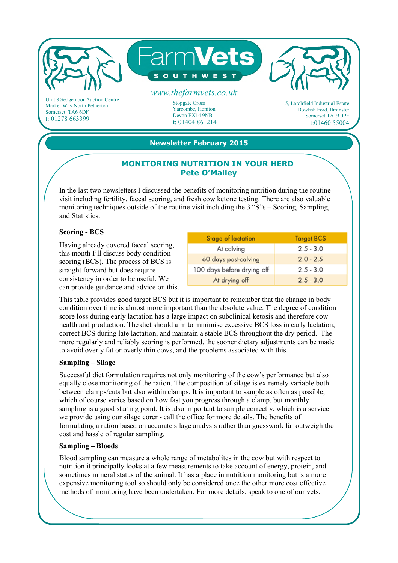

Market Way North Petherton Somerset TA6 6DF t: 01278 663399

Stopgate Cross Yarcombe, Honiton Devon EX14 9NB t: 01404 861214 5, Larchfield Industrial Estate Dowlish Ford, Ilminster Somerset TA19 0PF t:01460 55004

# **Newsletter February 2015**

## **MONITORING NUTRITION IN YOUR HERD Pete O'Malley**

In the last two newsletters I discussed the benefits of monitoring nutrition during the routine visit including fertility, faecal scoring, and fresh cow ketone testing. There are also valuable monitoring techniques outside of the routine visit including the 3 "S"s – Scoring, Sampling, and Statistics:

### **Scoring - BCS**

Having already covered faecal scoring, this month I'll discuss body condition scoring (BCS). The process of BCS is straight forward but does require consistency in order to be useful. We can provide guidance and advice on this.

| Stage of lactation         | <b>Target BCS</b> |
|----------------------------|-------------------|
| At calving                 | $2.5 - 3.0$       |
| 60 days post-calving       | $2.0 - 2.5$       |
| 100 days before drying off | $2.5 - 3.0$       |
| At drying off              | $2.5 - 3.0$       |

This table provides good target BCS but it is important to remember that the change in body condition over time is almost more important than the absolute value. The degree of condition score loss during early lactation has a large impact on subclinical ketosis and therefore cow health and production. The diet should aim to minimise excessive BCS loss in early lactation, correct BCS during late lactation, and maintain a stable BCS throughout the dry period. The more regularly and reliably scoring is performed, the sooner dietary adjustments can be made to avoid overly fat or overly thin cows, and the problems associated with this.

#### **Sampling – Silage**

Successful diet formulation requires not only monitoring of the cow's performance but also equally close monitoring of the ration. The composition of silage is extremely variable both between clamps/cuts but also within clamps. It is important to sample as often as possible, which of course varies based on how fast you progress through a clamp, but monthly sampling is a good starting point. It is also important to sample correctly, which is a service we provide using our silage corer - call the office for more details. The benefits of formulating a ration based on accurate silage analysis rather than guesswork far outweigh the cost and hassle of regular sampling.

## **Sampling – Bloods**

Blood sampling can measure a whole range of metabolites in the cow but with respect to nutrition it principally looks at a few measurements to take account of energy, protein, and sometimes mineral status of the animal. It has a place in nutrition monitoring but is a more expensive monitoring tool so should only be considered once the other more cost effective methods of monitoring have been undertaken. For more details, speak to one of our vets.